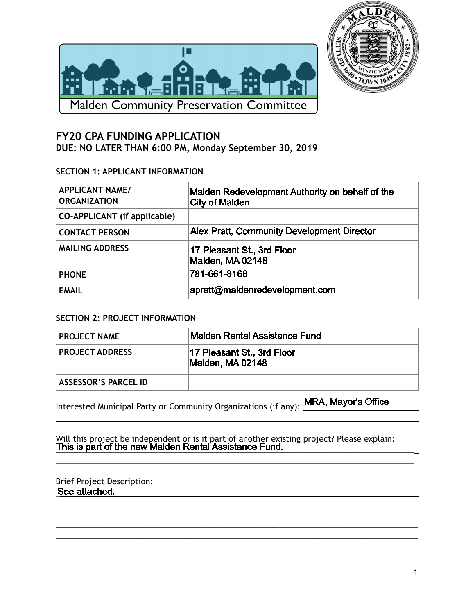



# **FY20 CPA FUNDING APPLICATION DUE: NO LATER THAN 6:00 PM, Monday September 30, 2019**

## **SECTION 1: APPLICANT INFORMATION**

| <b>APPLICANT NAME/</b><br><b>ORGANIZATION</b> | Malden Redevelopment Authority on behalf of the<br><b>City of Malden</b> |
|-----------------------------------------------|--------------------------------------------------------------------------|
| <b>CO-APPLICANT</b> (if applicable)           |                                                                          |
| <b>CONTACT PERSON</b>                         | <b>Alex Pratt, Community Development Director</b>                        |
| <b>MAILING ADDRESS</b>                        | 17 Pleasant St., 3rd Floor<br>Malden, MA 02148                           |
| <b>PHONE</b>                                  | 781-661-8168                                                             |
| <b>EMAIL</b>                                  | apratt@maldenredevelopment.com                                           |

## **SECTION 2: PROJECT INFORMATION**

| <b>PROJECT NAME</b>         | Malden Rental Assistance Fund                  |
|-----------------------------|------------------------------------------------|
| <b>PROJECT ADDRESS</b>      | 17 Pleasant St., 3rd Floor<br>Malden, MA 02148 |
| <b>ASSESSOR'S PARCEL ID</b> |                                                |

Interested Municipal Party or Community Organizations (if any):

Will this project be independent or is it part of another existing project? Please explain: <u>This is part of the new Maiden Rental Assistance Fund.</u>

\_\_\_\_\_\_\_\_\_\_\_\_\_\_\_\_\_\_\_\_\_\_\_\_\_\_\_\_\_\_\_\_\_\_\_\_\_\_\_\_\_\_\_\_\_\_\_\_\_\_\_\_\_\_\_\_\_\_\_\_\_\_\_\_\_\_\_\_\_\_\_\_\_\_\_\_\_\_\_\_

\_\_\_\_\_\_\_\_\_\_\_\_\_\_\_\_\_\_\_\_\_\_\_\_\_\_\_\_\_\_\_\_\_\_\_\_\_\_\_\_\_\_\_\_\_\_\_\_\_\_\_\_\_\_\_\_\_\_\_\_\_\_\_\_\_\_\_\_\_\_\_\_\_\_\_\_\_\_\_\_\_ \_\_\_\_\_\_\_\_\_\_\_\_\_\_\_\_\_\_\_\_\_\_\_\_\_\_\_\_\_\_\_\_\_\_\_\_\_\_\_\_\_\_\_\_\_\_\_\_\_\_\_\_\_\_\_\_\_\_\_\_\_\_\_\_\_\_\_\_\_\_\_\_\_\_\_\_\_\_\_\_\_ \_\_\_\_\_\_\_\_\_\_\_\_\_\_\_\_\_\_\_\_\_\_\_\_\_\_\_\_\_\_\_\_\_\_\_\_\_\_\_\_\_\_\_\_\_\_\_\_\_\_\_\_\_\_\_\_\_\_\_\_\_\_\_\_\_\_\_\_\_\_\_\_\_\_\_\_\_\_\_\_\_ \_\_\_\_\_\_\_\_\_\_\_\_\_\_\_\_\_\_\_\_\_\_\_\_\_\_\_\_\_\_\_\_\_\_\_\_\_\_\_\_\_\_\_\_\_\_\_\_\_\_\_\_\_\_\_\_\_\_\_\_\_\_\_\_\_\_\_\_\_\_\_\_\_\_\_\_\_\_\_\_\_

#### Brief Project Description: See attached.

 $\overline{a}$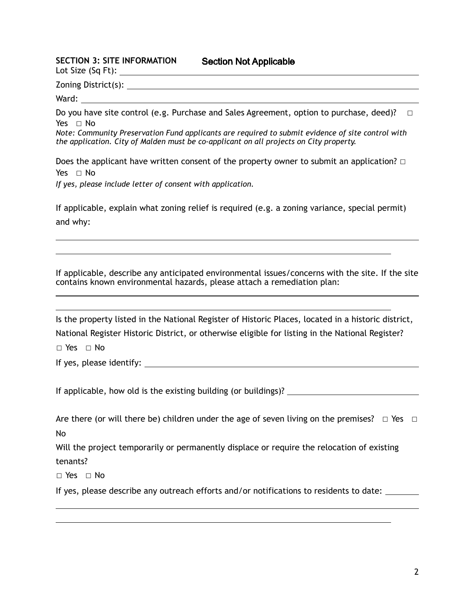#### **SECTION 3: SITE INFORMATION**

Lot Size (Sq Ft):

Zoning District(s):

Ward:

 $\overline{a}$  $\overline{a}$ 

 $\overline{a}$ 

Do you have site control (e.g. Purchase and Sales Agreement, option to purchase, deed)? □ Yes ⊓ No

*Note: Community Preservation Fund applicants are required to submit evidence of site control with the application. City of Malden must be co-applicant on all projects on City property.* 

Does the applicant have written consent of the property owner to submit an application?  $□$ Yes □ No

*If yes, please include letter of consent with application.* 

If applicable, explain what zoning relief is required (e.g. a zoning variance, special permit) and why:

If applicable, describe any anticipated environmental issues/concerns with the site. If the site contains known environmental hazards, please attach a remediation plan:  $\overline{a}$ 

Is the property listed in the National Register of Historic Places, located in a historic district, National Register Historic District, or otherwise eligible for listing in the National Register?

☐ Yes ☐ No

If yes, please identify:

If applicable, how old is the existing building (or buildings)?

Are there (or will there be) children under the age of seven living on the premises?  $\Box$  Yes  $\Box$ No

Will the project temporarily or permanently displace or require the relocation of existing tenants?

☐ Yes ☐ No

 $\overline{a}$  $\overline{a}$ 

If yes, please describe any outreach efforts and/or notifications to residents to date: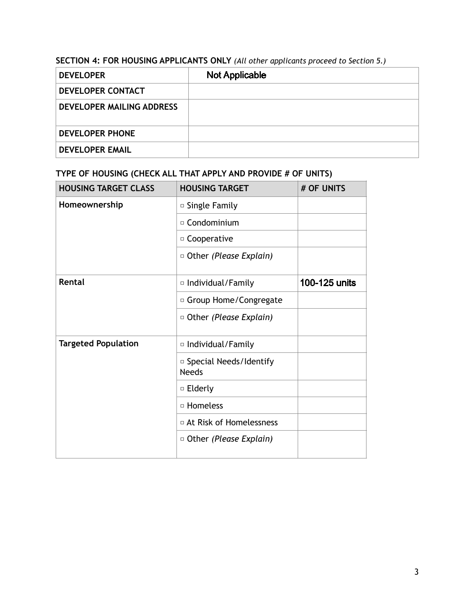# **SECTION 4: FOR HOUSING APPLICANTS ONLY** *(All other applicants proceed to Section 5.)*

| <b>DEVELOPER</b>                 | <b>Not Applicable</b> |
|----------------------------------|-----------------------|
| DEVELOPER CONTACT                |                       |
| <b>DEVELOPER MAILING ADDRESS</b> |                       |
| <b>DEVELOPER PHONE</b>           |                       |
| <b>DEVELOPER EMAIL</b>           |                       |

# **TYPE OF HOUSING (CHECK ALL THAT APPLY AND PROVIDE # OF UNITS)**

| <b>HOUSING TARGET CLASS</b> | <b>HOUSING TARGET</b>                    | # OF UNITS    |
|-----------------------------|------------------------------------------|---------------|
| Homeownership               | □ Single Family                          |               |
|                             | <sup>□</sup> Condominium                 |               |
|                             | □ Cooperative                            |               |
|                             | □ Other (Please Explain)                 |               |
| Rental                      | □ Individual/Family                      | 100-125 units |
|                             | □ Group Home/Congregate                  |               |
|                             | □ Other (Please Explain)                 |               |
| <b>Targeted Population</b>  | □ Individual/Family                      |               |
|                             | □ Special Needs/Identify<br><b>Needs</b> |               |
|                             | □ Elderly                                |               |
|                             | □ Homeless                               |               |
|                             | □ At Risk of Homelessness                |               |
|                             | □ Other (Please Explain)                 |               |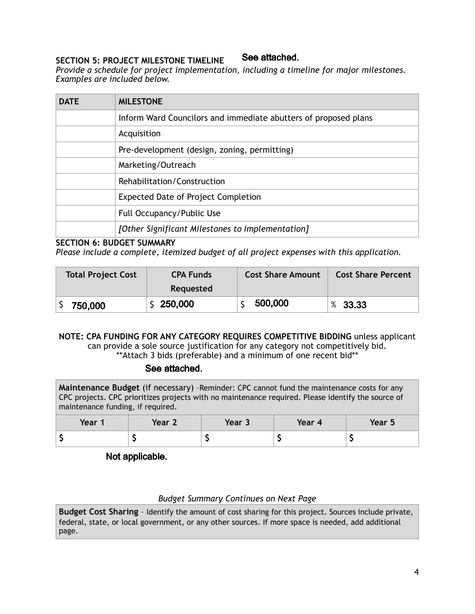#### See attached. **SECTION 5: PROJECT MILESTONE TIMELINE**

*Provide a schedule for project implementation, including a timeline for major milestones. Examples are included below.* 

| <b>DATE</b> | <b>MILESTONE</b>                                                |
|-------------|-----------------------------------------------------------------|
|             | Inform Ward Councilors and immediate abutters of proposed plans |
|             | Acquisition                                                     |
|             | Pre-development (design, zoning, permitting)                    |
|             | Marketing/Outreach                                              |
|             | Rehabilitation/Construction                                     |
|             | <b>Expected Date of Project Completion</b>                      |
|             | Full Occupancy/Public Use                                       |
|             | [Other Significant Milestones to Implementation]                |

#### **SECTION 6: BUDGET SUMMARY**

*Please include a complete, itemized budget of all project expenses with this application.* 

| <b>Total Project Cost</b> | <b>CPA Funds</b><br>Requested | <b>Cost Share Amount</b> | <b>Cost Share Percent</b> |
|---------------------------|-------------------------------|--------------------------|---------------------------|
| 750,000                   | \$250,000                     | 500,000                  | %33.33                    |

#### **NOTE: CPA FUNDING FOR ANY CATEGORY REQUIRES COMPETITIVE BIDDING** unless applicant can provide a sole source justification for any category not competitively bid. \*\*Attach 3 bids (preferable) and a minimum of one recent bid\*\*

#### See attached.

**Maintenance Budget** (if necessary) –Reminder: CPC cannot fund the maintenance costs for any CPC projects. CPC prioritizes projects with no maintenance required. Please identify the source of maintenance funding, if required.

| Year 1 | Year 2 | Year 3 | Year 4 | Year 5 |
|--------|--------|--------|--------|--------|
|        |        |        |        |        |

# Not applicable.

## *Budget Summary Continues on Next Page*

**Budget Cost Sharing** – Identify the amount of cost sharing for this project. Sources include private, federal, state, or local government, or any other sources. If more space is needed, add additional page.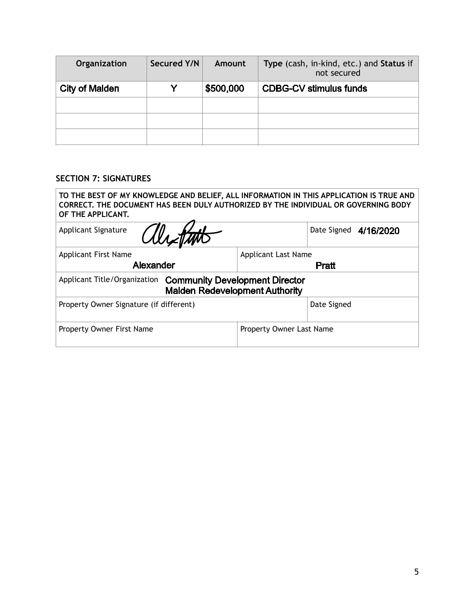| Organization          | Secured Y/N | Amount    | Type (cash, in-kind, etc.) and Status if<br>not secured |
|-----------------------|-------------|-----------|---------------------------------------------------------|
| <b>City of Malden</b> |             | \$500,000 | <b>CDBG-CV stimulus funds</b>                           |
|                       |             |           |                                                         |
|                       |             |           |                                                         |
|                       |             |           |                                                         |

## **SECTION 7: SIGNATURES**

| TO THE BEST OF MY KNOWLEDGE AND BELIEF, ALL INFORMATION IN THIS APPLICATION IS TRUE AND<br>CORRECT. THE DOCUMENT HAS BEEN DULY AUTHORIZED BY THE INDIVIDUAL OR GOVERNING BODY<br>OF THE APPLICANT. |                            |  |
|----------------------------------------------------------------------------------------------------------------------------------------------------------------------------------------------------|----------------------------|--|
| Withth<br><b>Applicant Signature</b>                                                                                                                                                               | Date Signed 4/16/2020      |  |
| <b>Applicant First Name</b>                                                                                                                                                                        | <b>Applicant Last Name</b> |  |
| Alexander                                                                                                                                                                                          | Pratt                      |  |
| Applicant Title/Organization Community Development Director<br><b>Malden Redevelopment Authority</b>                                                                                               |                            |  |
| Property Owner Signature (if different)                                                                                                                                                            | Date Signed                |  |
| Property Owner First Name                                                                                                                                                                          | Property Owner Last Name   |  |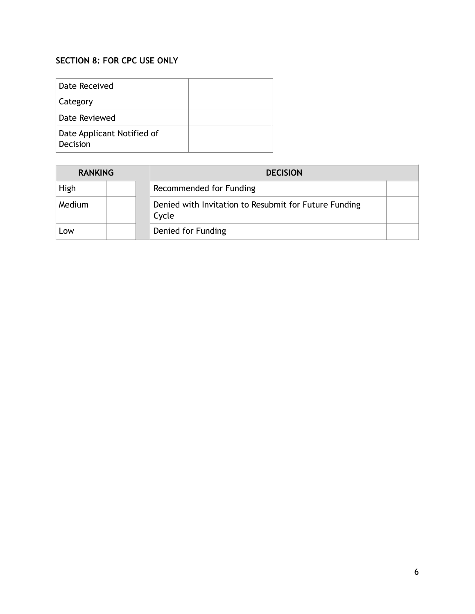# **SECTION 8: FOR CPC USE ONLY**

| Date Received                          |  |
|----------------------------------------|--|
| Category                               |  |
| Date Reviewed                          |  |
| Date Applicant Notified of<br>Decision |  |

| <b>RANKING</b> | <b>DECISION</b>                                                |  |
|----------------|----------------------------------------------------------------|--|
| High           | Recommended for Funding                                        |  |
| Medium         | Denied with Invitation to Resubmit for Future Funding<br>Cycle |  |
| LOW            | Denied for Funding                                             |  |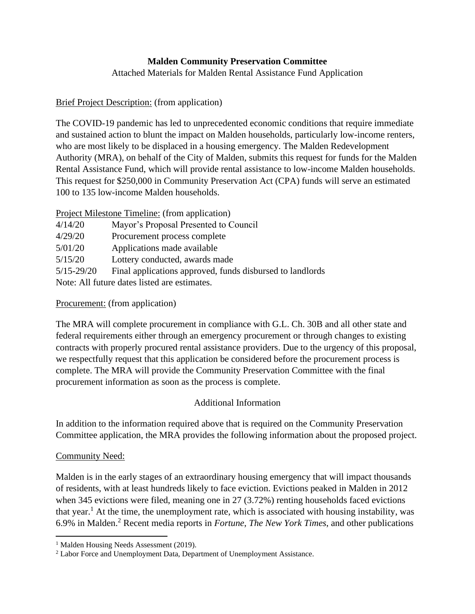# **Malden Community Preservation Committee**

Attached Materials for Malden Rental Assistance Fund Application

## Brief Project Description: (from application)

The COVID-19 pandemic has led to unprecedented economic conditions that require immediate and sustained action to blunt the impact on Malden households, particularly low-income renters, who are most likely to be displaced in a housing emergency. The Malden Redevelopment Authority (MRA), on behalf of the City of Malden, submits this request for funds for the Malden Rental Assistance Fund, which will provide rental assistance to low-income Malden households. This request for \$250,000 in Community Preservation Act (CPA) funds will serve an estimated 100 to 135 low-income Malden households.

|                                              | <b>Project Milestone Timeline:</b> (from application)     |  |
|----------------------------------------------|-----------------------------------------------------------|--|
| 4/14/20                                      | Mayor's Proposal Presented to Council                     |  |
| 4/29/20                                      | Procurement process complete                              |  |
| 5/01/20                                      | Applications made available                               |  |
| 5/15/20                                      | Lottery conducted, awards made                            |  |
| $5/15 - 29/20$                               | Final applications approved, funds disbursed to landlords |  |
| Note: All future dates listed are estimates. |                                                           |  |

## Procurement: (from application)

The MRA will complete procurement in compliance with G.L. Ch. 30B and all other state and federal requirements either through an emergency procurement or through changes to existing contracts with properly procured rental assistance providers. Due to the urgency of this proposal, we respectfully request that this application be considered before the procurement process is complete. The MRA will provide the Community Preservation Committee with the final procurement information as soon as the process is complete.

## Additional Information

In addition to the information required above that is required on the Community Preservation Committee application, the MRA provides the following information about the proposed project.

## Community Need:

Malden is in the early stages of an extraordinary housing emergency that will impact thousands of residents, with at least hundreds likely to face eviction. Evictions peaked in Malden in 2012 when 345 evictions were filed, meaning one in 27 (3.72%) renting households faced evictions that year.<sup>1</sup> At the time, the unemployment rate, which is associated with housing instability, was 6.9% in Malden.<sup>2</sup> Recent media reports in *Fortune*, *The New York Times*, and other publications

<sup>&</sup>lt;sup>1</sup> Malden Housing Needs Assessment (2019).

<sup>2</sup> Labor Force and Unemployment Data, Department of Unemployment Assistance.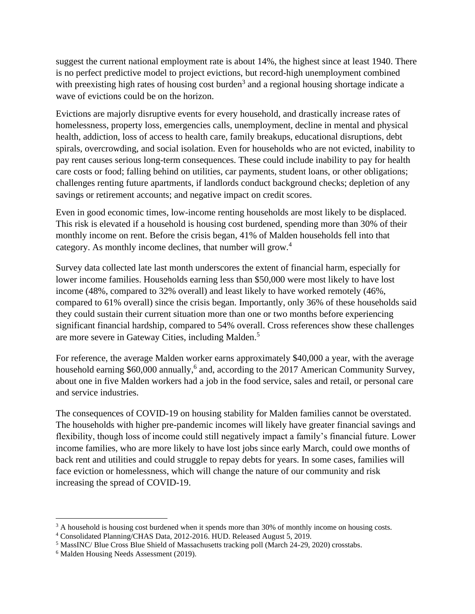suggest the current national employment rate is about 14%, the highest since at least 1940. There is no perfect predictive model to project evictions, but record-high unemployment combined with preexisting high rates of housing cost burden<sup>3</sup> and a regional housing shortage indicate a wave of evictions could be on the horizon.

Evictions are majorly disruptive events for every household, and drastically increase rates of homelessness, property loss, emergencies calls, unemployment, decline in mental and physical health, addiction, loss of access to health care, family breakups, educational disruptions, debt spirals, overcrowding, and social isolation. Even for households who are not evicted, inability to pay rent causes serious long-term consequences. These could include inability to pay for health care costs or food; falling behind on utilities, car payments, student loans, or other obligations; challenges renting future apartments, if landlords conduct background checks; depletion of any savings or retirement accounts; and negative impact on credit scores.

Even in good economic times, low-income renting households are most likely to be displaced. This risk is elevated if a household is housing cost burdened, spending more than 30% of their monthly income on rent. Before the crisis began, 41% of Malden households fell into that category. As monthly income declines, that number will grow.<sup>4</sup>

Survey data collected late last month underscores the extent of financial harm, especially for lower income families. Households earning less than \$50,000 were most likely to have lost income (48%, compared to 32% overall) and least likely to have worked remotely (46%, compared to 61% overall) since the crisis began. Importantly, only 36% of these households said they could sustain their current situation more than one or two months before experiencing significant financial hardship, compared to 54% overall. Cross references show these challenges are more severe in Gateway Cities, including Malden.<sup>5</sup>

For reference, the average Malden worker earns approximately \$40,000 a year, with the average household earning \$60,000 annually,<sup>6</sup> and, according to the 2017 American Community Survey, about one in five Malden workers had a job in the food service, sales and retail, or personal care and service industries.

The consequences of COVID-19 on housing stability for Malden families cannot be overstated. The households with higher pre-pandemic incomes will likely have greater financial savings and flexibility, though loss of income could still negatively impact a family's financial future. Lower income families, who are more likely to have lost jobs since early March, could owe months of back rent and utilities and could struggle to repay debts for years. In some cases, families will face eviction or homelessness, which will change the nature of our community and risk increasing the spread of COVID-19.

<sup>&</sup>lt;sup>3</sup> A household is housing cost burdened when it spends more than 30% of monthly income on housing costs.

<sup>4</sup> Consolidated Planning/CHAS Data, 2012-2016. HUD. Released August 5, 2019.

<sup>5</sup> MassINC/ Blue Cross Blue Shield of Massachusetts tracking poll (March 24-29, 2020) crosstabs.

<sup>6</sup> Malden Housing Needs Assessment (2019).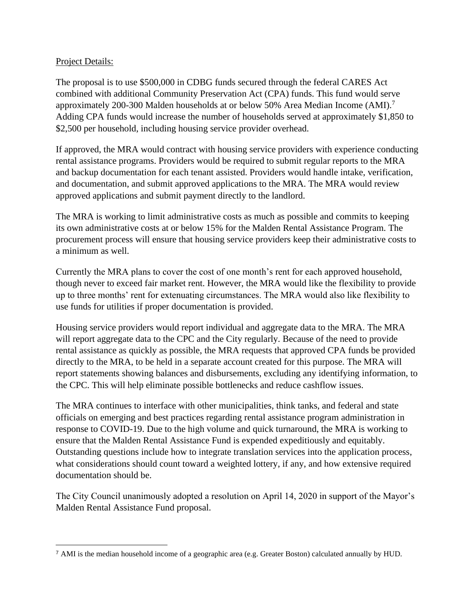## Project Details:

The proposal is to use \$500,000 in CDBG funds secured through the federal CARES Act combined with additional Community Preservation Act (CPA) funds. This fund would serve approximately 200-300 Malden households at or below 50% Area Median Income (AMI).<sup>7</sup> Adding CPA funds would increase the number of households served at approximately \$1,850 to \$2,500 per household, including housing service provider overhead.

If approved, the MRA would contract with housing service providers with experience conducting rental assistance programs. Providers would be required to submit regular reports to the MRA and backup documentation for each tenant assisted. Providers would handle intake, verification, and documentation, and submit approved applications to the MRA. The MRA would review approved applications and submit payment directly to the landlord.

The MRA is working to limit administrative costs as much as possible and commits to keeping its own administrative costs at or below 15% for the Malden Rental Assistance Program. The procurement process will ensure that housing service providers keep their administrative costs to a minimum as well.

Currently the MRA plans to cover the cost of one month's rent for each approved household, though never to exceed fair market rent. However, the MRA would like the flexibility to provide up to three months' rent for extenuating circumstances. The MRA would also like flexibility to use funds for utilities if proper documentation is provided.

Housing service providers would report individual and aggregate data to the MRA. The MRA will report aggregate data to the CPC and the City regularly. Because of the need to provide rental assistance as quickly as possible, the MRA requests that approved CPA funds be provided directly to the MRA, to be held in a separate account created for this purpose. The MRA will report statements showing balances and disbursements, excluding any identifying information, to the CPC. This will help eliminate possible bottlenecks and reduce cashflow issues.

The MRA continues to interface with other municipalities, think tanks, and federal and state officials on emerging and best practices regarding rental assistance program administration in response to COVID-19. Due to the high volume and quick turnaround, the MRA is working to ensure that the Malden Rental Assistance Fund is expended expeditiously and equitably. Outstanding questions include how to integrate translation services into the application process, what considerations should count toward a weighted lottery, if any, and how extensive required documentation should be.

The City Council unanimously adopted a resolution on April 14, 2020 in support of the Mayor's Malden Rental Assistance Fund proposal.

<sup>7</sup> AMI is the median household income of a geographic area (e.g. Greater Boston) calculated annually by HUD.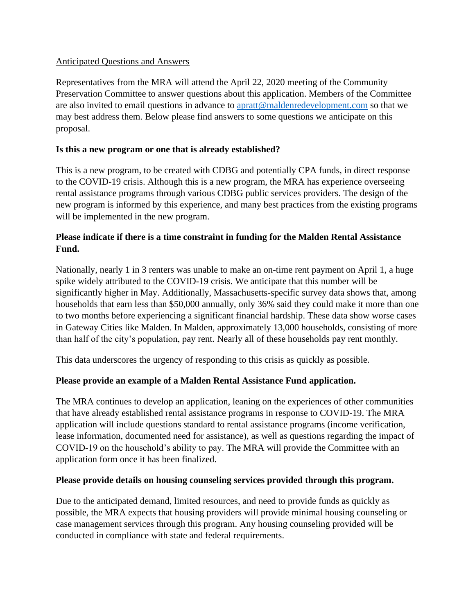#### Anticipated Questions and Answers

Representatives from the MRA will attend the April 22, 2020 meeting of the Community Preservation Committee to answer questions about this application. Members of the Committee are also invited to email questions in advance to [apratt@maldenredevelopment.com](mailto:apratt@maldenredevelopment.com) so that we may best address them. Below please find answers to some questions we anticipate on this proposal.

#### **Is this a new program or one that is already established?**

This is a new program, to be created with CDBG and potentially CPA funds, in direct response to the COVID-19 crisis. Although this is a new program, the MRA has experience overseeing rental assistance programs through various CDBG public services providers. The design of the new program is informed by this experience, and many best practices from the existing programs will be implemented in the new program.

## **Please indicate if there is a time constraint in funding for the Malden Rental Assistance Fund.**

Nationally, nearly 1 in 3 renters was unable to make an on-time rent payment on April 1, a huge spike widely attributed to the COVID-19 crisis. We anticipate that this number will be significantly higher in May. Additionally, Massachusetts-specific survey data shows that, among households that earn less than \$50,000 annually, only 36% said they could make it more than one to two months before experiencing a significant financial hardship. These data show worse cases in Gateway Cities like Malden. In Malden, approximately 13,000 households, consisting of more than half of the city's population, pay rent. Nearly all of these households pay rent monthly.

This data underscores the urgency of responding to this crisis as quickly as possible.

## **Please provide an example of a Malden Rental Assistance Fund application.**

The MRA continues to develop an application, leaning on the experiences of other communities that have already established rental assistance programs in response to COVID-19. The MRA application will include questions standard to rental assistance programs (income verification, lease information, documented need for assistance), as well as questions regarding the impact of COVID-19 on the household's ability to pay. The MRA will provide the Committee with an application form once it has been finalized.

#### **Please provide details on housing counseling services provided through this program.**

Due to the anticipated demand, limited resources, and need to provide funds as quickly as possible, the MRA expects that housing providers will provide minimal housing counseling or case management services through this program. Any housing counseling provided will be conducted in compliance with state and federal requirements.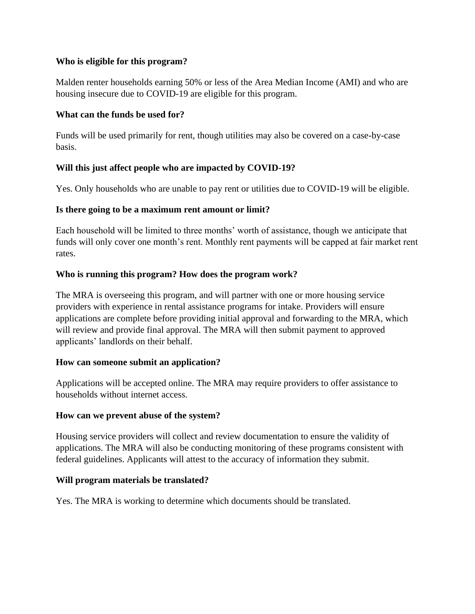#### **Who is eligible for this program?**

Malden renter households earning 50% or less of the Area Median Income (AMI) and who are housing insecure due to COVID-19 are eligible for this program.

#### **What can the funds be used for?**

Funds will be used primarily for rent, though utilities may also be covered on a case-by-case basis.

## **Will this just affect people who are impacted by COVID-19?**

Yes. Only households who are unable to pay rent or utilities due to COVID-19 will be eligible.

## **Is there going to be a maximum rent amount or limit?**

Each household will be limited to three months' worth of assistance, though we anticipate that funds will only cover one month's rent. Monthly rent payments will be capped at fair market rent rates.

## **Who is running this program? How does the program work?**

The MRA is overseeing this program, and will partner with one or more housing service providers with experience in rental assistance programs for intake. Providers will ensure applications are complete before providing initial approval and forwarding to the MRA, which will review and provide final approval. The MRA will then submit payment to approved applicants' landlords on their behalf.

## **How can someone submit an application?**

Applications will be accepted online. The MRA may require providers to offer assistance to households without internet access.

## **How can we prevent abuse of the system?**

Housing service providers will collect and review documentation to ensure the validity of applications. The MRA will also be conducting monitoring of these programs consistent with federal guidelines. Applicants will attest to the accuracy of information they submit.

## **Will program materials be translated?**

Yes. The MRA is working to determine which documents should be translated.